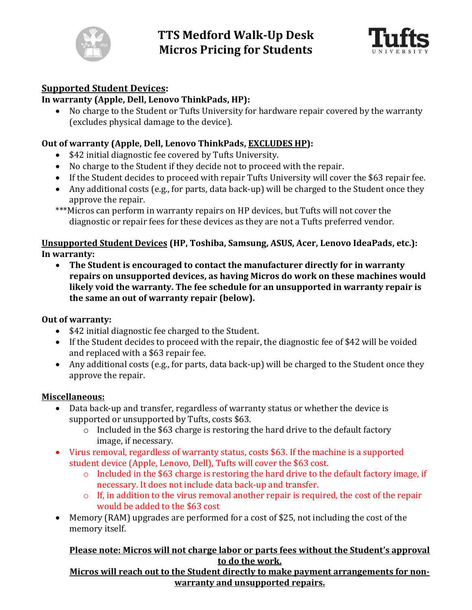



# **Supported Student Devices:**

## **In warranty (Apple, Dell, Lenovo ThinkPads, HP):**

 No charge to the Student or Tufts University for hardware repair covered by the warranty (excludes physical damage to the device).

### **Out of warranty (Apple, Dell, Lenovo ThinkPads, EXCLUDES HP):**

- \$42 initial diagnostic fee covered by Tufts University.
- No charge to the Student if they decide not to proceed with the repair.
- If the Student decides to proceed with repair Tufts University will cover the \$63 repair fee.
- Any additional costs (e.g., for parts, data back-up) will be charged to the Student once they approve the repair.

\*\*\*Micros can perform in warranty repairs on HP devices, but Tufts will not cover the diagnostic or repair fees for these devices as they are not a Tufts preferred vendor.

#### **Unsupported Student Devices (HP, Toshiba, Samsung, ASUS, Acer, Lenovo IdeaPads, etc.): In warranty:**

 **The Student is encouraged to contact the manufacturer directly for in warranty repairs on unsupported devices, as having Micros do work on these machines would likely void the warranty. The fee schedule for an unsupported in warranty repair is the same an out of warranty repair (below).**

#### **Out of warranty:**

- \$42 initial diagnostic fee charged to the Student.
- If the Student decides to proceed with the repair, the diagnostic fee of \$42 will be voided and replaced with a \$63 repair fee.
- Any additional costs (e.g., for parts, data back-up) will be charged to the Student once they approve the repair.

#### **Miscellaneous:**

- Data back-up and transfer, regardless of warranty status or whether the device is supported or unsupported by Tufts, costs \$63.
	- o Included in the \$63 charge is restoring the hard drive to the default factory image, if necessary.
- Virus removal, regardless of warranty status, costs \$63. If the machine is a supported student device (Apple, Lenovo, Dell), Tufts will cover the \$63 cost.
	- o Included in the \$63 charge is restoring the hard drive to the default factory image, if necessary. It does not include data back-up and transfer.
	- o If, in addition to the virus removal another repair is required, the cost of the repair would be added to the \$63 cost
- Memory (RAM) upgrades are performed for a cost of \$25, not including the cost of the memory itself.

## **Please note: Micros will not charge labor or parts fees without the Student's approval to do the work.**

#### **Micros will reach out to the Student directly to make payment arrangements for nonwarranty and unsupported repairs.**